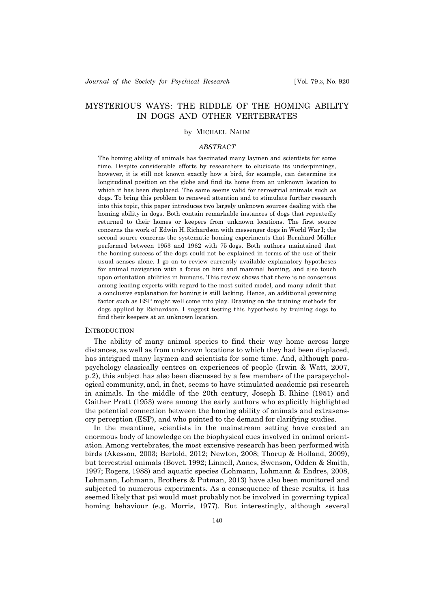# MYSTERIOUS WAYS: THE RIDDLE OF THE HOMING ABILITY IN DOGS AND OTHER VERTEBRATES

# by MICHAEL NAHM

# *ABSTRACT*

The homing ability of animals has fascinated many laymen and scientists for some time. Despite considerable efforts by researchers to elucidate its underpinnings, however, it is still not known exactly how a bird, for example, can determine its longitudinal position on the globe and find its home from an unknown location to which it has been displaced. The same seems valid for terrestrial animals such as dogs. To bring this problem to renewed attention and to stimulate further research into this topic, this paper introduces two largely unknown sources dealing with the homing ability in dogs. Both contain remarkable instances of dogs that repeatedly returned to their homes or keepers from unknown locations. The first source concerns the work of Edwin H. Richardson with messenger dogs in World War I; the second source concerns the systematic homing experiments that Bernhard Müller performed between 1953 and 1962 with 75 dogs. Both authors maintained that the homing success of the dogs could not be explained in terms of the use of their usual senses alone. I go on to review currently available explanatory hypotheses for animal navigation with a focus on bird and mammal homing, and also touch upon orientation abilities in humans. This review shows that there is no consensus among leading experts with regard to the most suited model, and many admit that a conclusive explanation for homing is still lacking. Hence, an additional governing factor such as ESP might well come into play. Drawing on the training methods for dogs applied by Richardson, I suggest testing this hypothesis by training dogs to find their keepers at an unknown location.

## **INTRODUCTION**

The ability of many animal species to find their way home across large distances, as well as from unknown locations to which they had been displaced, has intrigued many laymen and scientists for some time. And, although parapsychology classically centres on experiences of people (Irwin & Watt, 2007, p.2), this subject has also been discussed by a few members of the parapsychological community, and, in fact, seems to have stimulated academic psi research in animals. In the middle of the 20th century, Joseph B. Rhine (1951) and Gaither Pratt (1953) were among the early authors who explicitly highlighted the potential connection between the homing ability of animals and extrasensory perception (ESP), and who pointed to the demand for clarifying studies.

In the meantime, scientists in the mainstream setting have created an enormous body of knowledge on the biophysical cues involved in animal orientation. Among vertebrates, the most extensive research has been performed with birds (Akesson, 2003; Bertold, 2012; Newton, 2008; Thorup & Holland, 2009), but terrestrial animals (Bovet, 1992; Linnell, Aanes, Swenson, Odden & Smith, 1997; Rogers, 1988) and aquatic species (Lohmann, Lohmann & Endres, 2008, Lohmann, Lohmann, Brothers & Putman, 2013) have also been monitored and subjected to numerous experiments. As a consequence of these results, it has seemed likely that psi would most probably not be involved in governing typical homing behaviour (e.g. Morris, 1977). But interestingly, although several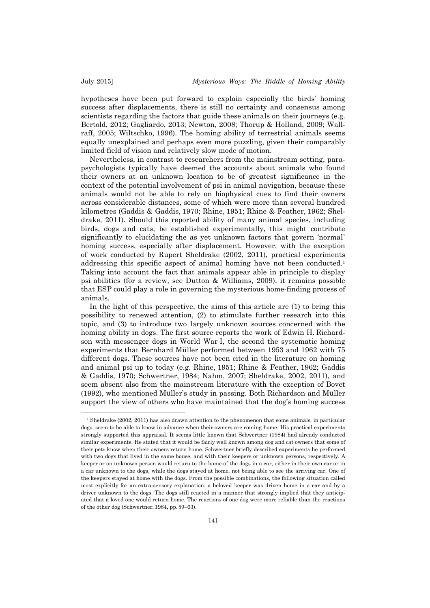hypotheses have been put forward to explain especially the birds' homing success after displacements, there is still no certainty and consensus among scientists regarding the factors that guide these animals on their journeys (e.g. Bertold, 2012; Gagliardo, 2013; Newton, 2008; Thorup & Holland, 2009; Wallraff, 2005; Wiltschko, 1996). The homing ability of terrestrial animals seems equally unexplained and perhaps even more puzzling, given their comparably limited field of vision and relatively slow mode of motion.

Nevertheless, in contrast to researchers from the mainstream setting, parapsychologists typically have deemed the accounts about animals who found their owners at an unknown location to be of greatest significance in the context of the potential involvement of psi in animal navigation, because these animals would not be able to rely on biophysical cues to find their owners across considerable distances, some of which were more than several hundred kilometres (Gaddis & Gaddis, 1970; Rhine, 1951; Rhine & Feather, 1962; Sheldrake, 2011). Should this reported ability of many animal species, including birds, dogs and cats, be established experimentally, this might contribute significantly to elucidating the as yet unknown factors that govern 'normal' homing success, especially after displacement. However, with the exception of work conducted by Rupert Sheldrake (2002, 2011), practical experiments addressing this specific aspect of animal homing have not been conducted.1 Taking into account the fact that animals appear able in principle to display psi abilities (for a review, see Dutton & Williams, 2009), it remains possible that ESP could play a role in governing the mysterious home-finding process of animals.

In the light of this perspective, the aims of this article are (1) to bring this possibility to renewed attention, (2) to stimulate further research into this topic, and (3) to introduce two largely unknown sources concerned with the homing ability in dogs. The first source reports the work of Edwin H. Richardson with messenger dogs in World War I, the second the systematic homing experiments that Bernhard Müller performed between 1953 and 1962 with 75 different dogs. These sources have not been cited in the literature on homing and animal psi up to today (e.g. Rhine, 1951; Rhine & Feather, 1962; Gaddis & Gaddis, 1970; Schwertner, 1984; Nahm, 2007; Sheldrake, 2002, 2011), and seem absent also from the mainstream literature with the exception of Bovet (1992), who mentioned Müller's study in passing. Both Richardson and Müller support the view of others who have maintained that the dog's homing success

<sup>&</sup>lt;sup>1</sup> Sheldrake (2002, 2011) has also drawn attention to the phenomenon that some animals, in particular dogs, seem to be able to know in advance when their owners are coming home. His practical experiments strongly supported this appraisal. It seems little known that Schwertner (1984) had already conducted similar experiments. He stated that it would be fairly well known among dog and cat owners that some of their pets know when their owners return home. Schwertner briefly described experiments he performed with two dogs that lived in the same house, and with their keepers or unknown persons, respectively. A keeper or an unknown person would return to the home of the dogs in a car, either in their own car or in a car unknown to the dogs, while the dogs stayed at home, not being able to see the arriving car. One of the keepers stayed at home with the dogs. From the possible combinations, the following situation called most explicitly for an extra-sensory explanation: a beloved keeper was driven home in a car and by a driver unknown to the dogs. The dogs still reacted in a manner that strongly implied that they anticipated that a loved one would return home. The reactions of one dog were more reliable than the reactions of the other dog (Schwertner, 1984, pp.59–63).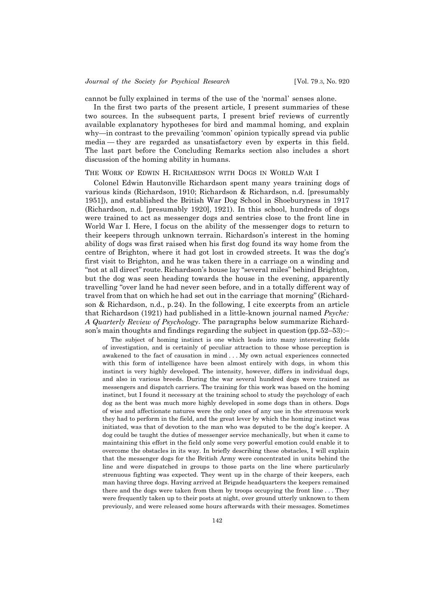cannot be fully explained in terms of the use of the 'normal' senses alone.

In the first two parts of the present article, I present summaries of these two sources. In the subsequent parts, I present brief reviews of currently available explanatory hypotheses for bird and mammal homing, and explain why—in contrast to the prevailing 'common' opinion typically spread via public media — they are regarded as unsatisfactory even by experts in this field. The last part before the Concluding Remarks section also includes a short discussion of the homing ability in humans.

## THE WORK OF EDWIN H. RICHARDSON WITH DOGS IN WORLD WAR I

Colonel Edwin Hautonville Richardson spent many years training dogs of various kinds (Richardson, 1910; Richardson & Richardson, n.d. [presumably 1951]), and established the British War Dog School in Shoeburyness in 1917 (Richardson, n.d. [presumably 1920], 1921). In this school, hundreds of dogs were trained to act as messenger dogs and sentries close to the front line in World War I. Here, I focus on the ability of the messenger dogs to return to their keepers through unknown terrain. Richardson's interest in the homing ability of dogs was first raised when his first dog found its way home from the centre of Brighton, where it had got lost in crowded streets. It was the dog's first visit to Brighton, and he was taken there in a carriage on a winding and "not at all direct" route. Richardson's house lay "several miles" behind Brighton, but the dog was seen heading towards the house in the evening, apparently travelling "over land he had never seen before, and in a totally different way of travel from that on which he had set out in the carriage that morning" (Richardson & Richardson, n.d., p.24). In the following, I cite excerpts from an article that Richardson (1921) had published in a little-known journal named *Psyche: A Quarterly Review of Psychology*. The paragraphs below summarize Richardson's main thoughts and findings regarding the subject in question (pp.52–53):–

The subject of homing instinct is one which leads into many interesting fields of investigation, and is certainly of peculiar attraction to those whose perception is awakened to the fact of causation in mind . . . My own actual experiences connected with this form of intelligence have been almost entirely with dogs, in whom this instinct is very highly developed. The intensity, however, differs in individual dogs, and also in various breeds. During the war several hundred dogs were trained as messengers and dispatch carriers. The training for this work was based on the homing instinct, but I found it necessary at the training school to study the psychology of each dog as the bent was much more highly developed in some dogs than in others. Dogs of wise and affectionate natures were the only ones of any use in the strenuous work they had to perform in the field, and the great lever by which the homing instinct was initiated, was that of devotion to the man who was deputed to be the dog's keeper. A dog could be taught the duties of messenger service mechanically, but when it came to maintaining this effort in the field only some very powerful emotion could enable it to overcome the obstacles in its way. In briefly describing these obstacles, I will explain that the messenger dogs for the British Army were concentrated in units behind the line and were dispatched in groups to those parts on the line where particularly strenuous fighting was expected. They went up in the charge of their keepers, each man having three dogs. Having arrived at Brigade headquarters the keepers remained there and the dogs were taken from them by troops occupying the front line . . . They were frequently taken up to their posts at night, over ground utterly unknown to them previously, and were released some hours afterwards with their messages. Sometimes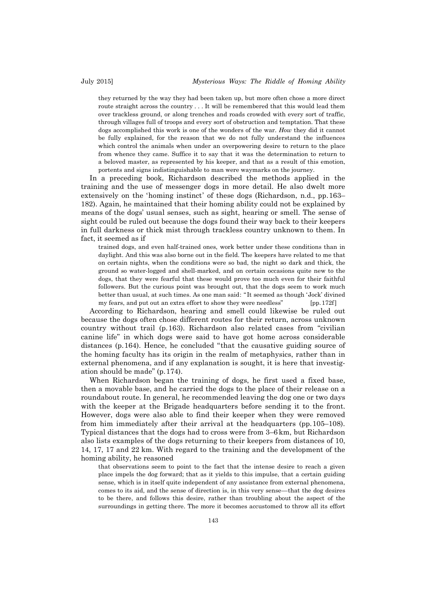they returned by the way they had been taken up, but more often chose a more direct route straight across the country . . . It will be remembered that this would lead them over trackless ground, or along trenches and roads crowded with every sort of traffic, through villages full of troops and every sort of obstruction and temptation. That these dogs accomplished this work is one of the wonders of the war. *How* they did it cannot be fully explained, for the reason that we do not fully understand the influences which control the animals when under an overpowering desire to return to the place from whence they came. Suffice it to say that it was the determination to return to a beloved master, as represented by his keeper, and that as a result of this emotion, portents and signs indistinguishable to man were waymarks on the journey.

In a preceding book, Richardson described the methods applied in the training and the use of messenger dogs in more detail. He also dwelt more extensively on the 'homing instinct' of these dogs (Richardson, n.d., pp.163– 182). Again, he maintained that their homing ability could not be explained by means of the dogs' usual senses, such as sight, hearing or smell. The sense of sight could be ruled out because the dogs found their way back to their keepers in full darkness or thick mist through trackless country unknown to them. In fact, it seemed as if

trained dogs, and even half-trained ones, work better under these conditions than in daylight. And this was also borne out in the field. The keepers have related to me that on certain nights, when the conditions were so bad, the night so dark and thick, the ground so water-logged and shell-marked, and on certain occasions quite new to the dogs, that they were fearful that these would prove too much even for their faithful followers. But the curious point was brought out, that the dogs seem to work much better than usual, at such times. As one man said: "It seemed as though 'Jock' divined my fears, and put out an extra effort to show they were needless" [pp.172f]

According to Richardson, hearing and smell could likewise be ruled out because the dogs often chose different routes for their return, across unknown country without trail (p.163). Richardson also related cases from "civilian canine life" in which dogs were said to have got home across considerable distances (p.164). Hence, he concluded "that the causative guiding source of the homing faculty has its origin in the realm of metaphysics, rather than in external phenomena, and if any explanation is sought, it is here that investigation should be made" (p.174).

When Richardson began the training of dogs, he first used a fixed base, then a movable base, and he carried the dogs to the place of their release on a roundabout route. In general, he recommended leaving the dog one or two days with the keeper at the Brigade headquarters before sending it to the front. However, dogs were also able to find their keeper when they were removed from him immediately after their arrival at the headquarters (pp.105–108). Typical distances that the dogs had to cross were from 3–6 km, but Richardson also lists examples of the dogs returning to their keepers from distances of 10, 14, 17, 17 and 22 km. With regard to the training and the development of the homing ability, he reasoned

that observations seem to point to the fact that the intense desire to reach a given place impels the dog forward; that as it yields to this impulse, that a certain guiding sense, which is in itself quite independent of any assistance from external phenomena, comes to its aid, and the sense of direction is, in this very sense — that the dog desires to be there, and follows this desire, rather than troubling about the aspect of the surroundings in getting there. The more it becomes accustomed to throw all its effort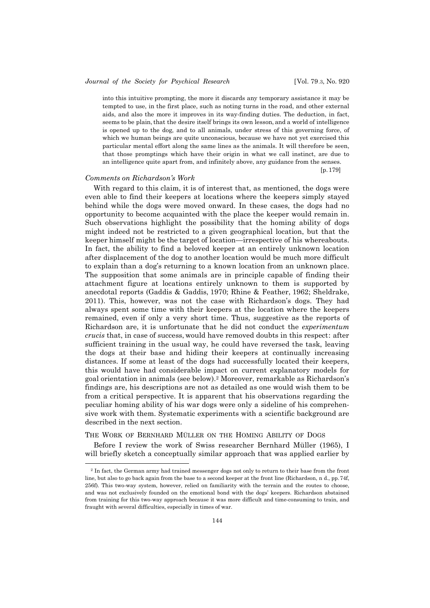# *Journal of the Society for Psychical Research* [Vol. 79.3, No. 920

into this intuitive prompting, the more it discards any temporary assistance it may be tempted to use, in the first place, such as noting turns in the road, and other external aids, and also the more it improves in its way-finding duties. The deduction, in fact, seems to be plain, that the desire itself brings its own lesson, and a world of intelligence is opened up to the dog, and to all animals, under stress of this governing force, of which we human beings are quite unconscious, because we have not yet exercised this particular mental effort along the same lines as the animals. It will therefore be seen, that those promptings which have their origin in what we call instinct, are due to an intelligence quite apart from, and infinitely above, any guidance from the senses.

[p.179]

# *Comments on Richardson's Work*

l

With regard to this claim, it is of interest that, as mentioned, the dogs were even able to find their keepers at locations where the keepers simply stayed behind while the dogs were moved onward. In these cases, the dogs had no opportunity to become acquainted with the place the keeper would remain in. Such observations highlight the possibility that the homing ability of dogs might indeed not be restricted to a given geographical location, but that the keeper himself might be the target of location — irrespective of his whereabouts. In fact, the ability to find a beloved keeper at an entirely unknown location after displacement of the dog to another location would be much more difficult to explain than a dog's returning to a known location from an unknown place. The supposition that some animals are in principle capable of finding their attachment figure at locations entirely unknown to them is supported by anecdotal reports (Gaddis & Gaddis, 1970; Rhine & Feather, 1962; Sheldrake, 2011). This, however, was not the case with Richardson's dogs. They had always spent some time with their keepers at the location where the keepers remained, even if only a very short time. Thus, suggestive as the reports of Richardson are, it is unfortunate that he did not conduct the *experimentum crucis* that, in case of success, would have removed doubts in this respect: after sufficient training in the usual way, he could have reversed the task, leaving the dogs at their base and hiding their keepers at continually increasing distances. If some at least of the dogs had successfully located their keepers, this would have had considerable impact on current explanatory models for goal orientation in animals (see below).2 Moreover, remarkable as Richardson's findings are, his descriptions are not as detailed as one would wish them to be from a critical perspective. It is apparent that his observations regarding the peculiar homing ability of his war dogs were only a sideline of his comprehensive work with them. Systematic experiments with a scientific background are described in the next section.

# THE WORK OF BERNHARD MÜLLER ON THE HOMING ABILITY OF DOGS

Before I review the work of Swiss researcher Bernhard Müller (1965), I will briefly sketch a conceptually similar approach that was applied earlier by

<sup>2</sup> In fact, the German army had trained messenger dogs not only to return to their base from the front line, but also to go back again from the base to a second keeper at the front line (Richardson, n d., pp.74f, 256f). This two-way system, however, relied on familiarity with the terrain and the routes to choose, and was not exclusively founded on the emotional bond with the dogs' keepers. Richardson abstained from training for this two-way approach because it was more difficult and time-consuming to train, and fraught with several difficulties, especially in times of war.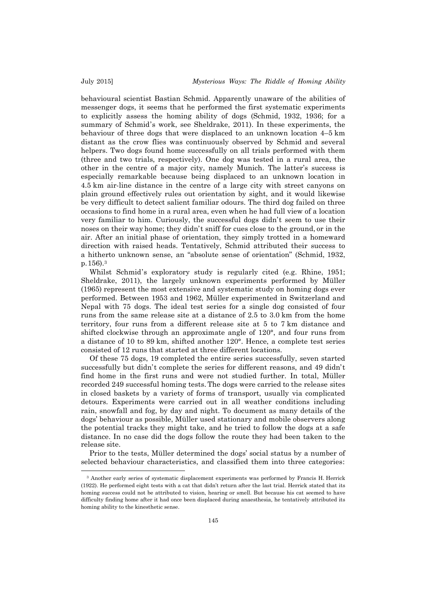behavioural scientist Bastian Schmid. Apparently unaware of the abilities of messenger dogs, it seems that he performed the first systematic experiments to explicitly assess the homing ability of dogs (Schmid, 1932, 1936; for a summary of Schmid's work, see Sheldrake, 2011). In these experiments, the behaviour of three dogs that were displaced to an unknown location 4–5 km distant as the crow flies was continuously observed by Schmid and several helpers. Two dogs found home successfully on all trials performed with them (three and two trials, respectively). One dog was tested in a rural area, the other in the centre of a major city, namely Munich. The latter's success is especially remarkable because being displaced to an unknown location in 4.5 km air-line distance in the centre of a large city with street canyons on plain ground effectively rules out orientation by sight, and it would likewise be very difficult to detect salient familiar odours. The third dog failed on three occasions to find home in a rural area, even when he had full view of a location very familiar to him. Curiously, the successful dogs didn't seem to use their noses on their way home; they didn't sniff for cues close to the ground, or in the air. After an initial phase of orientation, they simply trotted in a homeward direction with raised heads. Tentatively, Schmid attributed their success to a hitherto unknown sense, an "absolute sense of orientation" (Schmid, 1932, p.156).3

Whilst Schmid's exploratory study is regularly cited (e.g. Rhine, 1951; Sheldrake, 2011), the largely unknown experiments performed by Müller (1965) represent the most extensive and systematic study on homing dogs ever performed. Between 1953 and 1962, Müller experimented in Switzerland and Nepal with 75 dogs. The ideal test series for a single dog consisted of four runs from the same release site at a distance of 2.5 to 3.0 km from the home territory, four runs from a different release site at 5 to 7 km distance and shifted clockwise through an approximate angle of 120°, and four runs from a distance of 10 to 89 km, shifted another 120°. Hence, a complete test series consisted of 12 runs that started at three different locations.

Of these 75 dogs, 19 completed the entire series successfully, seven started successfully but didn't complete the series for different reasons, and 49 didn't find home in the first runs and were not studied further. In total, Müller recorded 249 successful homing tests. The dogs were carried to the release sites in closed baskets by a variety of forms of transport, usually via complicated detours. Experiments were carried out in all weather conditions including rain, snowfall and fog, by day and night. To document as many details of the dogs' behaviour as possible, Müller used stationary and mobile observers along the potential tracks they might take, and he tried to follow the dogs at a safe distance. In no case did the dogs follow the route they had been taken to the release site.

Prior to the tests, Müller determined the dogs' social status by a number of selected behaviour characteristics, and classified them into three categories:

<sup>3</sup> Another early series of systematic displacement experiments was performed by Francis H. Herrick (1922). He performed eight tests with a cat that didn't return after the last trial. Herrick stated that its homing success could not be attributed to vision, hearing or smell. But because his cat seemed to have difficulty finding home after it had once been displaced during anaesthesia, he tentatively attributed its homing ability to the kinesthetic sense.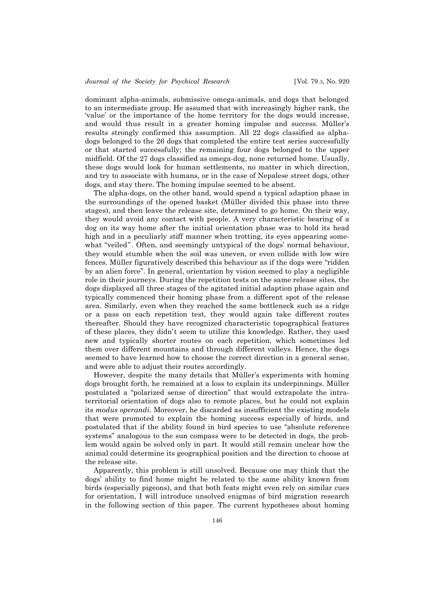dominant alpha-animals, submissive omega-animals, and dogs that belonged to an intermediate group. He assumed that with increasingly higher rank, the 'value' or the importance of the home territory for the dogs would increase, and would thus result in a greater homing impulse and success. Müller's results strongly confirmed this assumption. All 22 dogs classified as alphadogs belonged to the 26 dogs that completed the entire test series successfully or that started successfully; the remaining four dogs belonged to the upper midfield. Of the 27 dogs classified as omega-dog, none returned home. Usually, these dogs would look for human settlements, no matter in which direction, and try to associate with humans, or in the case of Nepalese street dogs, other dogs, and stay there. The homing impulse seemed to be absent.

The alpha-dogs, on the other hand, would spend a typical adaption phase in the surroundings of the opened basket (Müller divided this phase into three stages), and then leave the release site, determined to go home. On their way, they would avoid any contact with people. A very characteristic bearing of a dog on its way home after the initial orientation phase was to hold its head high and in a peculiarly stiff manner when trotting, its eyes appearing somewhat "veiled". Often, and seemingly untypical of the dogs' normal behaviour, they would stumble when the soil was uneven, or even collide with low wire fences. Müller figuratively described this behaviour as if the dogs were "ridden by an alien force". In general, orientation by vision seemed to play a negligible role in their journeys. During the repetition tests on the same release sites, the dogs displayed all three stages of the agitated initial adaption phase again and typically commenced their homing phase from a different spot of the release area. Similarly, even when they reached the same bottleneck such as a ridge or a pass on each repetition test, they would again take different routes thereafter. Should they have recognized characteristic topographical features of these places, they didn't seem to utilize this knowledge. Rather, they used new and typically shorter routes on each repetition, which sometimes led them over different mountains and through different valleys. Hence, the dogs seemed to have learned how to choose the correct direction in a general sense, and were able to adjust their routes accordingly.

However, despite the many details that Müller's experiments with homing dogs brought forth, he remained at a loss to explain its underpinnings. Müller postulated a "polarized sense of direction" that would extrapolate the intraterritorial orientation of dogs also to remote places, but he could not explain its *modus operandi*. Moreover, he discarded as insufficient the existing models that were promoted to explain the homing success especially of birds, and postulated that if the ability found in bird species to use "absolute reference systems" analogous to the sun compass were to be detected in dogs, the problem would again be solved only in part. It would still remain unclear how the animal could determine its geographical position and the direction to choose at the release site.

Apparently, this problem is still unsolved. Because one may think that the dogs' ability to find home might be related to the same ability known from birds (especially pigeons), and that both feats might even rely on similar cues for orientation, I will introduce unsolved enigmas of bird migration research in the following section of this paper. The current hypotheses about homing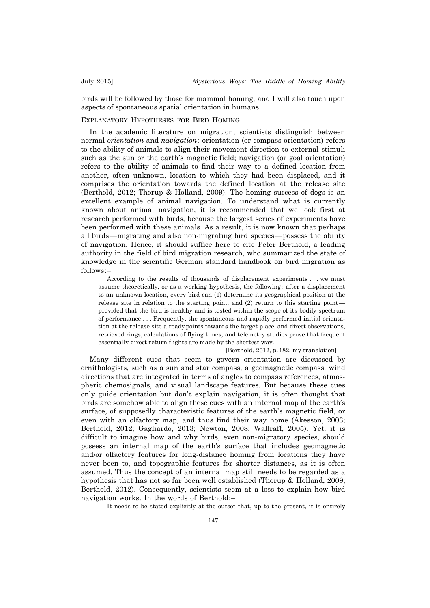birds will be followed by those for mammal homing, and I will also touch upon aspects of spontaneous spatial orientation in humans.

## EXPLANATORY HYPOTHESES FOR BIRD HOMING

In the academic literature on migration, scientists distinguish between normal *orientation* and *navigation*: orientation (or compass orientation) refers to the ability of animals to align their movement direction to external stimuli such as the sun or the earth's magnetic field; navigation (or goal orientation) refers to the ability of animals to find their way to a defined location from another, often unknown, location to which they had been displaced, and it comprises the orientation towards the defined location at the release site (Berthold, 2012; Thorup & Holland, 2009). The homing success of dogs is an excellent example of animal navigation. To understand what is currently known about animal navigation, it is recommended that we look first at research performed with birds, because the largest series of experiments have been performed with these animals. As a result, it is now known that perhaps all birds — migrating and also non-migrating bird species — possess the ability of navigation. Hence, it should suffice here to cite Peter Berthold, a leading authority in the field of bird migration research, who summarized the state of knowledge in the scientific German standard handbook on bird migration as follows:–

According to the results of thousands of displacement experiments . . . we must assume theoretically, or as a working hypothesis, the following: after a displacement to an unknown location, every bird can (1) determine its geographical position at the release site in relation to the starting point, and (2) return to this starting point provided that the bird is healthy and is tested within the scope of its bodily spectrum of performance . . . Frequently, the spontaneous and rapidly performed initial orientation at the release site already points towards the target place; and direct observations, retrieved rings, calculations of flying times, and telemetry studies prove that frequent essentially direct return flights are made by the shortest way.

#### [Berthold, 2012, p.182, my translation]

Many different cues that seem to govern orientation are discussed by ornithologists, such as a sun and star compass, a geomagnetic compass, wind directions that are integrated in terms of angles to compass references, atmospheric chemosignals, and visual landscape features. But because these cues only guide orientation but don't explain navigation, it is often thought that birds are somehow able to align these cues with an internal map of the earth's surface, of supposedly characteristic features of the earth's magnetic field, or even with an olfactory map, and thus find their way home (Akesson, 2003; Berthold, 2012; Gagliardo, 2013; Newton, 2008; Wallraff, 2005). Yet, it is difficult to imagine how and why birds, even non-migratory species, should possess an internal map of the earth's surface that includes geomagnetic and/or olfactory features for long-distance homing from locations they have never been to, and topographic features for shorter distances, as it is often assumed. Thus the concept of an internal map still needs to be regarded as a hypothesis that has not so far been well established (Thorup & Holland, 2009; Berthold, 2012). Consequently, scientists seem at a loss to explain how bird navigation works. In the words of Berthold:–

It needs to be stated explicitly at the outset that, up to the present, it is entirely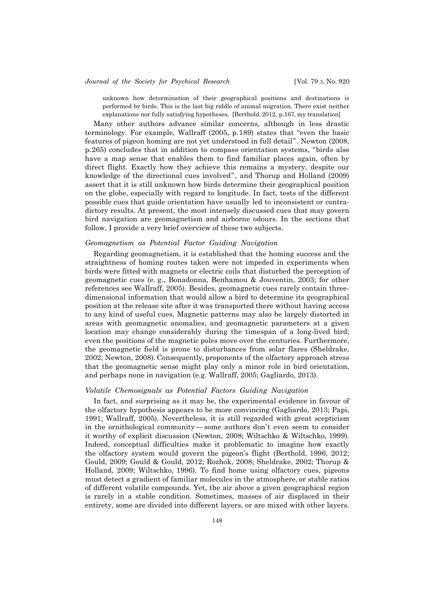# *Journal of the Society for Psychical Research* [Vol. 79.3, No. 920

unknown how determination of their geographical positions and destinations is performed by birds. This is the last big riddle of animal migration. There exist neither explanations nor fully satisfying hypotheses. [Berthold, 2012, p.167, my translation]

Many other authors advance similar concerns, although in less drastic terminology. For example, Wallraff (2005, p.189) states that "even the basic features of pigeon homing are not yet understood in full detail". Newton (2008, p.265) concludes that in addition to compass orientation systems, "birds also have a map sense that enables them to find familiar places again, often by direct flight. Exactly how they achieve this remains a mystery, despite our knowledge of the directional cues involved", and Thorup and Holland (2009) assert that it is still unknown how birds determine their geographical position on the globe, especially with regard to longitude. In fact, tests of the different possible cues that guide orientation have usually led to inconsistent or contradictory results. At present, the most intensely discussed cues that may govern bird navigation are geomagnetism and airborne odours. In the sections that follow, I provide a very brief overview of these two subjects.

# *Geomagnetism as Potential Factor Guiding Navigation*

Regarding geomagnetism, it is established that the homing success and the straightness of homing routes taken were not impeded in experiments when birds were fitted with magnets or electric coils that disturbed the perception of geomagnetic cues (e. g., Bonadonna, Benhamou & Jouventin, 2003; for other references see Wallraff, 2005). Besides, geomagnetic cues rarely contain threedimensional information that would allow a bird to determine its geographical position at the release site after it was transported there without having access to any kind of useful cues. Magnetic patterns may also be largely distorted in areas with geomagnetic anomalies, and geomagnetic parameters at a given location may change considerably during the timespan of a long-lived bird; even the positions of the magnetic poles move over the centuries. Furthermore, the geomagnetic field is prone to disturbances from solar flares (Sheldrake, 2002; Newton, 2008). Consequently, proponents of the olfactory approach stress that the geomagnetic sense might play only a minor role in bird orientation, and perhaps none in navigation (e.g. Wallraff, 2005; Gagliardo, 2013).

## *Volatile Chemosignals as Potential Factors Guiding Navigation*

In fact, and surprising as it may be, the experimental evidence in favour of the olfactory hypothesis appears to be more convincing (Gagliardo, 2013; Papi, 1991; Wallraff, 2005). Nevertheless, it is still regarded with great scepticism in the ornithological community — some authors don't even seem to consider it worthy of explicit discussion (Newton, 2008; Wiltschko & Wiltschko, 1999). Indeed, conceptual difficulties make it problematic to imagine how exactly the olfactory system would govern the pigeon's flight (Berthold, 1996, 2012; Gould, 2009; Gould & Gould, 2012; Rozhok, 2008; Sheldrake, 2002; Thorup & Holland, 2009; Wiltschko, 1996). To find home using olfactory cues, pigeons must detect a gradient of familiar molecules in the atmosphere, or stable ratios of different volatile compounds. Yet, the air above a given geographical region is rarely in a stable condition. Sometimes, masses of air displaced in their entirety, some are divided into different layers, or are mixed with other layers.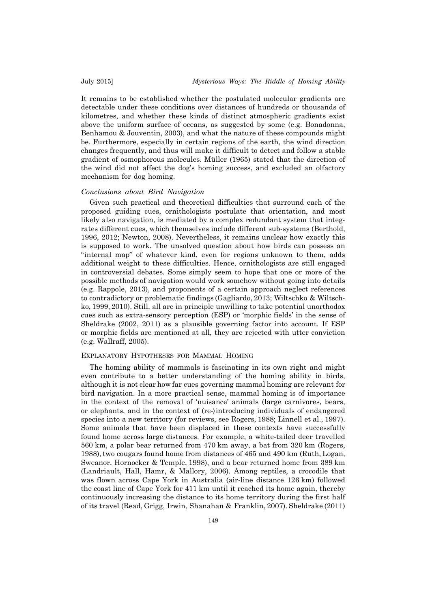It remains to be established whether the postulated molecular gradients are detectable under these conditions over distances of hundreds or thousands of kilometres, and whether these kinds of distinct atmospheric gradients exist above the uniform surface of oceans, as suggested by some (e.g. Bonadonna, Benhamou & Jouventin, 2003), and what the nature of these compounds might be. Furthermore, especially in certain regions of the earth, the wind direction changes frequently, and thus will make it difficult to detect and follow a stable gradient of osmophorous molecules. Müller (1965) stated that the direction of the wind did not affect the dog's homing success, and excluded an olfactory mechanism for dog homing.

### *Conclusions about Bird Navigation*

Given such practical and theoretical difficulties that surround each of the proposed guiding cues, ornithologists postulate that orientation, and most likely also navigation, is mediated by a complex redundant system that integrates different cues, which themselves include different sub-systems (Berthold, 1996, 2012; Newton, 2008). Nevertheless, it remains unclear how exactly this is supposed to work. The unsolved question about how birds can possess an "internal map" of whatever kind, even for regions unknown to them, adds additional weight to these difficulties. Hence, ornithologists are still engaged in controversial debates. Some simply seem to hope that one or more of the possible methods of navigation would work somehow without going into details (e.g. Rappole, 2013), and proponents of a certain approach neglect references to contradictory or problematic findings (Gagliardo, 2013; Wiltschko & Wiltschko, 1999, 2010). Still, all are in principle unwilling to take potential unorthodox cues such as extra-sensory perception (ESP) or 'morphic fields' in the sense of Sheldrake (2002, 2011) as a plausible governing factor into account. If ESP or morphic fields are mentioned at all, they are rejected with utter conviction (e.g. Wallraff, 2005).

## EXPLANATORY HYPOTHESES FOR MAMMAL HOMING

The homing ability of mammals is fascinating in its own right and might even contribute to a better understanding of the homing ability in birds, although it is not clear how far cues governing mammal homing are relevant for bird navigation. In a more practical sense, mammal homing is of importance in the context of the removal of 'nuisance' animals (large carnivores, bears, or elephants, and in the context of (re-)introducing individuals of endangered species into a new territory (for reviews, see Rogers, 1988; Linnell et al., 1997). Some animals that have been displaced in these contexts have successfully found home across large distances. For example, a white-tailed deer travelled 560 km, a polar bear returned from 470 km away, a bat from 320 km (Rogers, 1988), two cougars found home from distances of 465 and 490 km (Ruth, Logan, Sweanor, Hornocker & Temple, 1998), and a bear returned home from 389 km (Landriault, Hall, Hamr, & Mallory, 2006). Among reptiles, a crocodile that was flown across Cape York in Australia (air-line distance 126 km) followed the coast line of Cape York for 411 km until it reached its home again, thereby continuously increasing the distance to its home territory during the first half of its travel (Read, Grigg, Irwin, Shanahan & Franklin, 2007). Sheldrake (2011)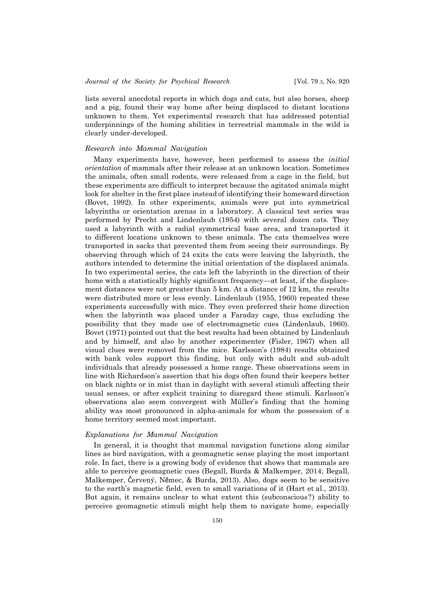lists several anecdotal reports in which dogs and cats, but also horses, sheep and a pig, found their way home after being displaced to distant locations unknown to them. Yet experimental research that has addressed potential underpinnings of the homing abilities in terrestrial mammals in the wild is clearly under-developed.

## *Research into Mammal Navigation*

Many experiments have, however, been performed to assess the *initial orientation* of mammals after their release at an unknown location. Sometimes the animals, often small rodents, were released from a cage in the field, but these experiments are difficult to interpret because the agitated animals might look for shelter in the first place instead of identifying their homeward direction (Bovet, 1992). In other experiments, animals were put into symmetrical labyrinths or orientation arenas in a laboratory. A classical test series was performed by Precht and Lindenlaub (1954) with several dozen cats. They used a labyrinth with a radial symmetrical base area, and transported it to different locations unknown to these animals. The cats themselves were transported in sacks that prevented them from seeing their surroundings. By observing through which of 24 exits the cats were leaving the labyrinth, the authors intended to determine the initial orientation of the displaced animals. In two experimental series, the cats left the labyrinth in the direction of their home with a statistically highly significant frequency—at least, if the displacement distances were not greater than 5 km. At a distance of 12 km, the results were distributed more or less evenly. Lindenlaub (1955, 1960) repeated these experiments successfully with mice. They even preferred their home direction when the labyrinth was placed under a Faraday cage, thus excluding the possibility that they made use of electromagnetic cues (Lindenlaub, 1960). Bovet (1971) pointed out that the best results had been obtained by Lindenlaub and by himself, and also by another experimenter (Fisler, 1967) when all visual clues were removed from the mice. Karlsson's (1984) results obtained with bank voles support this finding, but only with adult and sub-adult individuals that already possessed a home range. These observations seem in line with Richardson's assertion that his dogs often found their keepers better on black nights or in mist than in daylight with several stimuli affecting their usual senses, or after explicit training to disregard these stimuli. Karlsson's observations also seem convergent with Müller's finding that the homing ability was most pronounced in alpha-animals for whom the possession of a home territory seemed most important.

## *Explanations for Mammal Navigation*

In general, it is thought that mammal navigation functions along similar lines as bird navigation, with a geomagnetic sense playing the most important role. In fact, there is a growing body of evidence that shows that mammals are able to perceive geomagnetic cues (Begall, Burda & Malkemper, 2014; Begall, Malkemper, Červený, Nĕmec, & Burda, 2013). Also, dogs seem to be sensitive to the earth's magnetic field, even to small variations of it (Hart et al., 2013). But again, it remains unclear to what extent this (subconscious?) ability to perceive geomagnetic stimuli might help them to navigate home, especially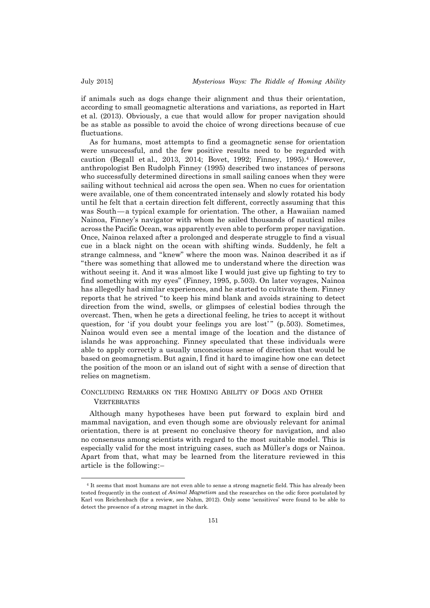if animals such as dogs change their alignment and thus their orientation, according to small geomagnetic alterations and variations, as reported in Hart et al. (2013). Obviously, a cue that would allow for proper navigation should be as stable as possible to avoid the choice of wrong directions because of cue fluctuations.

As for humans, most attempts to find a geomagnetic sense for orientation were unsuccessful, and the few positive results need to be regarded with caution (Begall et al., 2013, 2014; Bovet, 1992; Finney, 1995).4 However, anthropologist Ben Rudolph Finney (1995) described two instances of persons who successfully determined directions in small sailing canoes when they were sailing without technical aid across the open sea. When no cues for orientation were available, one of them concentrated intensely and slowly rotated his body until he felt that a certain direction felt different, correctly assuming that this was South — a typical example for orientation. The other, a Hawaiian named Nainoa, Finney's navigator with whom he sailed thousands of nautical miles across the Pacific Ocean, was apparently even able to perform proper navigation. Once, Nainoa relaxed after a prolonged and desperate struggle to find a visual cue in a black night on the ocean with shifting winds. Suddenly, he felt a strange calmness, and "knew" where the moon was. Nainoa described it as if "there was something that allowed me to understand where the direction was without seeing it. And it was almost like I would just give up fighting to try to find something with my eyes" (Finney, 1995, p.503). On later voyages, Nainoa has allegedly had similar experiences, and he started to cultivate them. Finney reports that he strived "to keep his mind blank and avoids straining to detect direction from the wind, swells, or glimpses of celestial bodies through the overcast. Then, when he gets a directional feeling, he tries to accept it without question, for 'if you doubt your feelings you are lost'" (p.503). Sometimes, Nainoa would even see a mental image of the location and the distance of islands he was approaching. Finney speculated that these individuals were able to apply correctly a usually unconscious sense of direction that would be based on geomagnetism. But again, I find it hard to imagine how one can detect the position of the moon or an island out of sight with a sense of direction that relies on magnetism.

# CONCLUDING REMARKS ON THE HOMING ABILITY OF DOGS AND OTHER **VERTEBRATES**

Although many hypotheses have been put forward to explain bird and mammal navigation, and even though some are obviously relevant for animal orientation, there is at present no conclusive theory for navigation, and also no consensus among scientists with regard to the most suitable model. This is especially valid for the most intriguing cases, such as Müller's dogs or Nainoa. Apart from that, what may be learned from the literature reviewed in this article is the following:–

<sup>4</sup> It seems that most humans are not even able to sense a strong magnetic field. This has already been tested frequently in the context of *Animal Magnetism* and the researches on the odic force postulated by Karl von Reichenbach (for a review, see Nahm, 2012). Only some 'sensitives' were found to be able to detect the presence of a strong magnet in the dark.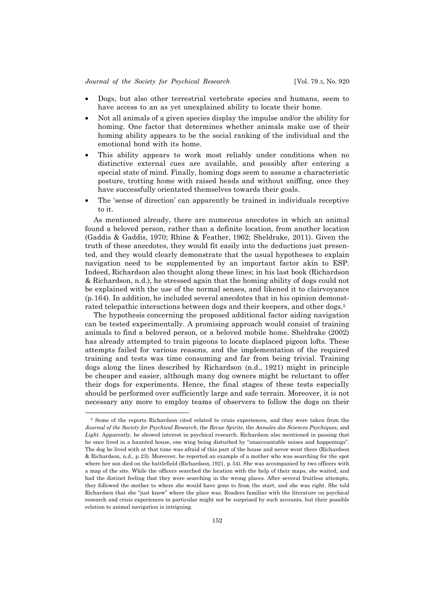- Dogs, but also other terrestrial vertebrate species and humans, seem to have access to an as yet unexplained ability to locate their home.
- Not all animals of a given species display the impulse and/or the ability for homing. One factor that determines whether animals make use of their homing ability appears to be the social ranking of the individual and the emotional bond with its home.
- This ability appears to work most reliably under conditions when no distinctive external cues are available, and possibly after entering a special state of mind. Finally, homing dogs seem to assume a characteristic posture, trotting home with raised heads and without sniffing, once they have successfully orientated themselves towards their goals.
- The 'sense of direction' can apparently be trained in individuals receptive to it.

As mentioned already, there are numerous anecdotes in which an animal found a beloved person, rather than a definite location, from another location (Gaddis & Gaddis, 1970; Rhine & Feather, 1962; Sheldrake, 2011). Given the truth of these anecdotes, they would fit easily into the deductions just presented, and they would clearly demonstrate that the usual hypotheses to explain navigation need to be supplemented by an important factor akin to ESP. Indeed, Richardson also thought along these lines; in his last book (Richardson & Richardson, n.d.), he stressed again that the homing ability of dogs could not be explained with the use of the normal senses, and likened it to clairvoyance (p.164). In addition, he included several anecdotes that in his opinion demonstrated telepathic interactions between dogs and their keepers, and other dogs.5

The hypothesis concerning the proposed additional factor aiding navigation can be tested experimentally. A promising approach would consist of training animals to find a beloved person, or a beloved mobile home. Sheldrake (2002) has already attempted to train pigeons to locate displaced pigeon lofts. These attempts failed for various reasons, and the implementation of the required training and tests was time consuming and far from being trivial. Training dogs along the lines described by Richardson (n.d., 1921) might in principle be cheaper and easier, although many dog owners might be reluctant to offer their dogs for experiments. Hence, the final stages of these tests especially should be performed over sufficiently large and safe terrain. Moreover, it is not necessary any more to employ teams of observers to follow the dogs on their

<sup>5</sup> Some of the reports Richardson cited related to crisis experiences, and they were taken from the *Journal of the Society for Psychical Research*, the *Revue Spirite*, the *Annales des Sciences Psychiques*, and *Light*. Apparently, he showed interest in psychical research. Richardson also mentioned in passing that he once lived in a haunted house, one wing being disturbed by "unaccountable noises and happenings". The dog he lived with at that time was afraid of this part of the house and never went there (Richardson & Richardson, n.d., p.23). Moreover, he reported an example of a mother who was searching for the spot where her son died on the battlefield (Richardson, 1921, p.54). She was accompanied by two officers with a map of the site. While the officers searched the location with the help of their maps, she waited, and had the distinct feeling that they were searching in the wrong places. After several fruitless attempts, they followed the mother to where she would have gone to from the start, and she was right. She told Richardson that she "just knew" where the place was. Readers familiar with the literature on psychical research and crisis experiences in particular might not be surprised by such accounts, but their possible relation to animal navigation is intriguing.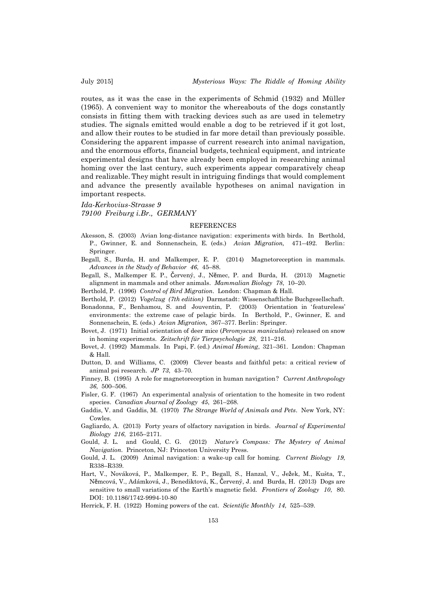routes, as it was the case in the experiments of Schmid (1932) and Müller (1965). A convenient way to monitor the whereabouts of the dogs constantly consists in fitting them with tracking devices such as are used in telemetry studies. The signals emitted would enable a dog to be retrieved if it got lost, and allow their routes to be studied in far more detail than previously possible. Considering the apparent impasse of current research into animal navigation, and the enormous efforts, financial budgets, technical equipment, and intricate experimental designs that have already been employed in researching animal homing over the last century, such experiments appear comparatively cheap and realizable. They might result in intriguing findings that would complement and advance the presently available hypotheses on animal navigation in important respects.

*Ida-Kerkovius-Strasse 9*

*79100 Freiburg i.Br., GERMANY*

#### REFERENCES

- Akesson, S. (2003) Avian long-distance navigation: experiments with birds. In Berthold, P., Gwinner, E. and Sonnenschein, E. (eds.) *Avian Migration,* 471–492. Berlin: Springer.
- Begall, S., Burda, H. and Malkemper, E. P. (2014) Magnetoreception in mammals*. Advances in the Study of Behavior 46*, 45–88.
- Begall, S., Malkemper E. P., Červený, J., Nĕmec, P. and Burda, H. (2013) Magnetic alignment in mammals and other animals. *Mammalian Biology 78*, 10–20.
- Berthold, P. (1996) *Control of Bird Migration*. London: Chapman & Hall.
- Berthold, P. (2012) *Vogelzug (7th edition)* Darmstadt: Wissenschaftliche Buchgesellschaft.
- Bonadonna, F., Benhamou, S. and Jouventin, P. (2003) Orientation in 'featureless' environments: the extreme case of pelagic birds. In Berthold, P., Gwinner, E. and Sonnenschein, E. (eds.) *Avian Migration,* 367–377. Berlin: Springer.
- Bovet, J. (1971) Initial orientation of deer mice (*Peromyscus maniculatus*) released on snow in homing experiments. *Zeitschrift für Tierpsychologie 28*, 211–216.
- Bovet, J. (1992) Mammals. In Papi, F. (ed.) *Animal Homing*, 321–361. London: Chapman  $&$  Hall
- Dutton, D. and Williams, C. (2009) Clever beasts and faithful pets: a critical review of animal psi research. *JP 73*, 43–70.
- Finney, B. (1995) A role for magnetoreception in human navigation? *Current Anthropology 36*, 500–506.
- Fisler, G. F. (1967) An experimental analysis of orientation to the homesite in two rodent species. *Canadian Journal of Zoology 45*, 261–268.
- Gaddis, V. and Gaddis, M. (1970) *The Strange World of Animals and Pets*. New York, NY: Cowles.
- Gagliardo, A. (2013) Forty years of olfactory navigation in birds. *Journal of Experimental Biology 216*, 2165–2171.
- Gould, J. L. and Gould, C. G. (2012) *Nature's Compass: The Mystery of Animal Navigation*. Princeton, NJ: Princeton University Press.
- Gould, J. L. (2009) Animal navigation: a wake-up call for homing. *Current Biology 19*, R338–R339.
- Hart, V., Nováková, P., Malkemper, E. P., Begall, S., Hanzal, V., Ježek, M., Kušta, T., Nĕmcová, V., Adámková, J., Benediktová, K., Červený, J. and Burda, H. (2013) Dogs are sensitive to small variations of the Earth's magnetic field. *Frontiers of Zoology 10*, 80. DOI: 10.1186/1742-9994-10-80

Herrick, F. H. (1922) Homing powers of the cat. *Scientific Monthly 14*, 525–539.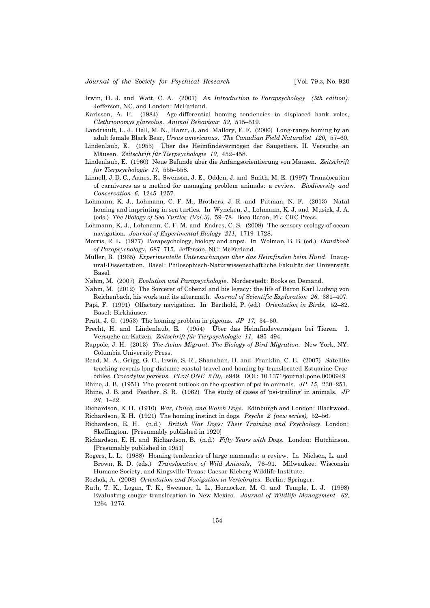- Irwin, H. J. and Watt, C. A. (2007) *An Introduction to Parapsychology (5th edition).* Jefferson, NC, and London: McFarland.
- Karlsson, A. F. (1984) Age-differential homing tendencies in displaced bank voles, *Clethrionomys glareolus*. *Animal Behaviour 32*, 515–519.
- Landriault, L. J., Hall, M. N., Hamr, J. and Mallory, F. F. (2006) Long-range homing by an adult female Black Bear, *Ursus americanus*. *The Canadian Field Naturalist 120*, 57–60.
- Lindenlaub, E. (1955) Über das Heimfindevermögen der Säugetiere. II. Versuche an Mäusen. *Zeitschrift für Tierpsychologie 12*, 452–458.
- Lindenlaub, E. (1960) Neue Befunde über die Anfangsorientierung von Mäusen. *Zeitschrift für Tierpsychologie 17*, 555–558.
- Linnell, J. D. C., Aanes, R., Swenson, J. E., Odden, J. and Smith, M. E. (1997) Translocation of carnivores as a method for managing problem animals: a review. *Biodiversity and Conservation 6*, 1245–1257.
- Lohmann, K. J., Lohmann, C. F. M., Brothers, J. R. and Putman, N. F. (2013) Natal homing and imprinting in sea turtles. In Wyneken, J., Lohmann, K. J. and Musick, J. A. (eds.) *The Biology of Sea Turtles (Vol.3)*, 59–78. Boca Raton, FL: CRC Press.
- Lohmann, K. J., Lohmann, C. F. M. and Endres, C. S. (2008) The sensory ecology of ocean navigation. *Journal of Experimental Biology 211*, 1719–1728.
- Morris, R. L. (1977) Parapsychology, biology and anpsi. In Wolman, B. B. (ed.) *Handbook of Parapsychology*, 687–715. Jefferson, NC: McFarland.
- Müller, B. (1965) *Experimentelle Untersuchungen über das Heimfinden beim Hund*. Inaugural-Dissertation. Basel: Philosophisch-Naturwissenschaftliche Fakultät der Universität Basel.
- Nahm, M. (2007) *Evolution und Parapsychologie*. Norderstedt: Books on Demand.
- Nahm, M. (2012) The Sorcerer of Cobenzl and his legacy: the life of Baron Karl Ludwig von Reichenbach, his work and its aftermath. *Journal of Scientific Exploration 26*, 381–407.
- Papi, F. (1991) Olfactory navigation. In Berthold, P. (ed.) *Orientation in Birds*, 52–82. Basel: Birkhäuser.
- Pratt, J. G. (1953) The homing problem in pigeons. *JP 17,* 34–60.
- Precht, H. and Lindenlaub, E. (1954) Über das Heimfindevermögen bei Tieren. I. Versuche an Katzen. *Zeitschrift für Tierpsychologie 11*, 485–494.
- Rappole, J. H. (2013) *The Avian Migrant. The Biology of Bird Migration*. New York, NY: Columbia University Press.
- Read, M. A., Grigg, G. C., Irwin, S. R., Shanahan, D. and Franklin, C. E. (2007) Satellite tracking reveals long distance coastal travel and homing by translocated Estuarine Crocodiles, *Crocodylus porosus*. *PLoS ONE 2 (9)*, e949. DOI: 10.1371/journal.pone.0000949
- Rhine, J. B. (1951) The present outlook on the question of psi in animals. *JP 15*, 230–251.
- Rhine, J. B. and Feather, S. R. (1962) The study of cases of 'psi-trailing' in animals. *JP 26*, 1–22.
- Richardson, E. H. (1910) *War, Police, and Watch Dogs*. Edinburgh and London: Blackwood.
- Richardson, E. H. (1921) The homing instinct in dogs. *Psyche 2 (new series),* 52–56.
- Richardson, E. H. (n.d.) *British War Dogs: Their Training and Psychology*. London: Skeffington. [Presumably published in 1920]
- Richardson, E. H. and Richardson, B. (n.d.) *Fifty Years with Dogs*. London: Hutchinson. [Presumably published in 1951]
- Rogers, L. L. (1988) Homing tendencies of large mammals: a review. In Nielsen, L. and Brown, R. D. (eds.) *Translocation of Wild Animals*, 76–91. Milwaukee: Wisconsin Humane Society, and Kingsville Texas: Caesar Kleberg Wildlife Institute.

Rozhok, A. (2008) *Orientation and Navigation in Vertebrates*. Berlin: Springer.

Ruth, T. K., Logan, T. K., Sweanor, L. L., Hornocker, M. G. and Temple, L. J. (1998) Evaluating cougar translocation in New Mexico. *Journal of Wildlife Management 62*, 1264–1275.